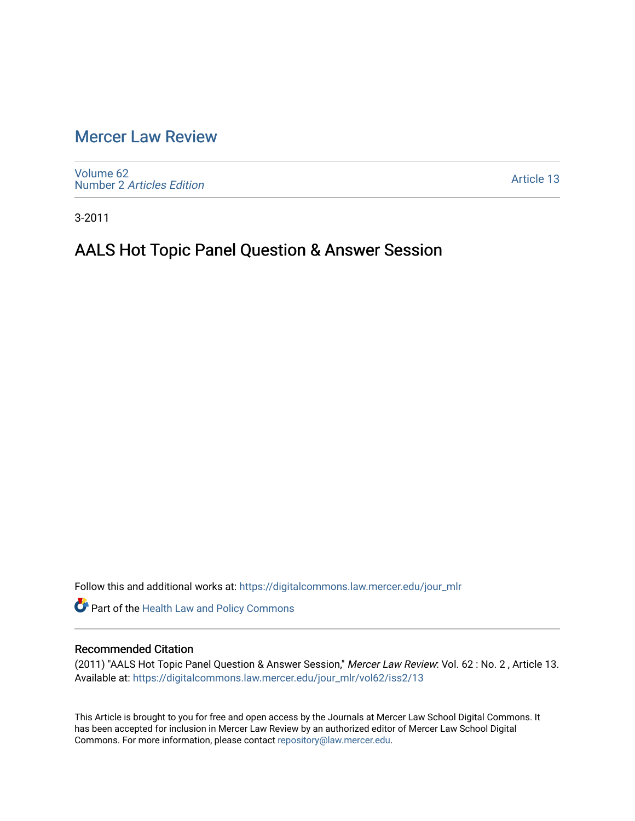# [Mercer Law Review](https://digitalcommons.law.mercer.edu/jour_mlr)

[Volume 62](https://digitalcommons.law.mercer.edu/jour_mlr/vol62) Number 2 [Articles Edition](https://digitalcommons.law.mercer.edu/jour_mlr/vol62/iss2) 

[Article 13](https://digitalcommons.law.mercer.edu/jour_mlr/vol62/iss2/13) 

3-2011

# AALS Hot Topic Panel Question & Answer Session

Follow this and additional works at: [https://digitalcommons.law.mercer.edu/jour\\_mlr](https://digitalcommons.law.mercer.edu/jour_mlr?utm_source=digitalcommons.law.mercer.edu%2Fjour_mlr%2Fvol62%2Fiss2%2F13&utm_medium=PDF&utm_campaign=PDFCoverPages)

Part of the [Health Law and Policy Commons](http://network.bepress.com/hgg/discipline/901?utm_source=digitalcommons.law.mercer.edu%2Fjour_mlr%2Fvol62%2Fiss2%2F13&utm_medium=PDF&utm_campaign=PDFCoverPages) 

## Recommended Citation

(2011) "AALS Hot Topic Panel Question & Answer Session," Mercer Law Review: Vol. 62 : No. 2 , Article 13. Available at: [https://digitalcommons.law.mercer.edu/jour\\_mlr/vol62/iss2/13](https://digitalcommons.law.mercer.edu/jour_mlr/vol62/iss2/13?utm_source=digitalcommons.law.mercer.edu%2Fjour_mlr%2Fvol62%2Fiss2%2F13&utm_medium=PDF&utm_campaign=PDFCoverPages) 

This Article is brought to you for free and open access by the Journals at Mercer Law School Digital Commons. It has been accepted for inclusion in Mercer Law Review by an authorized editor of Mercer Law School Digital Commons. For more information, please contact [repository@law.mercer.edu.](mailto:repository@law.mercer.edu)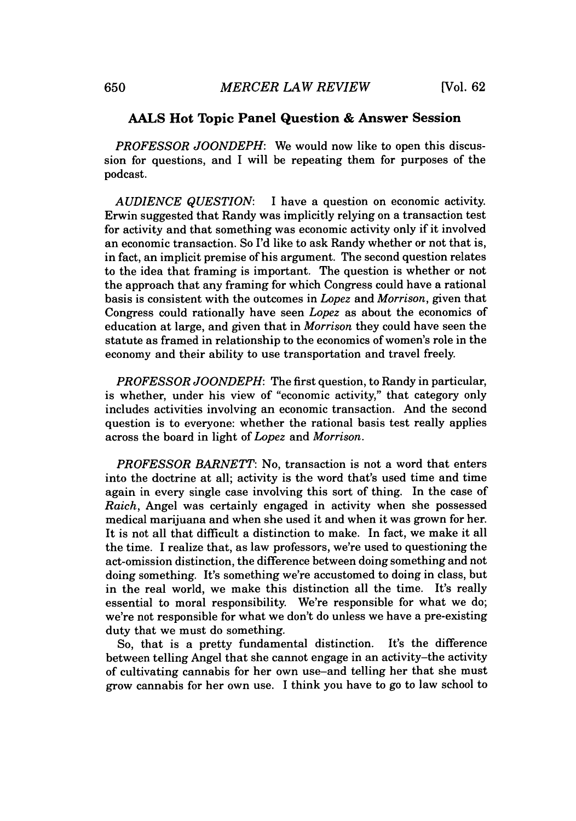### **AALS Hot Topic Panel Question & Answer Session**

*PROFESSOR JOONDEPH:* We would now like to open this discussion for questions, and I will be repeating them for purposes of the podcast.

*AUDIENCE QUESTION:* I have a question on economic activity. Erwin suggested that Randy was implicitly relying on a transaction test for activity and that something was economic activity only if it involved an economic transaction. So I'd like to ask Randy whether or not that is, in fact, an implicit premise of his argument. The second question relates to the idea that framing is important. The question is whether or not the approach that any framing for which Congress could have a rational basis is consistent with the outcomes in *Lopez and Morrison,* given that Congress could rationally have seen *Lopez* as about the economics of education at large, and given that in *Morrison* they could have seen the statute as framed in relationship to the economics of women's role in the economy and their ability to use transportation and travel freely.

*PROFESSOR JOONDEPH:* The first question, to Randy in particular, is whether, under his view of "economic activity," that category only includes activities involving an economic transaction. And the second question is to everyone: whether the rational basis test really applies across the board in light of *Lopez and Morrison.*

*PROFESSOR BARNETT:* No, transaction is not a word that enters into the doctrine at all; activity is the word that's used time and time again in every single case involving this sort of thing. In the case of *Raich,* Angel was certainly engaged in activity when she possessed medical marijuana and when she used it and when it was grown for her. It is not all that difficult a distinction to make. In fact, we make it all the time. **I** realize that, as law professors, we're used to questioning the act-omission distinction, the difference between doing something and not doing something. It's something we're accustomed to doing in class, but in the real world, we make this distinction all the time. It's really essential to moral responsibility. We're responsible for what we do; we're not responsible for what we don't do unless we have a pre-existing duty that we must do something.

So, that is a pretty fundamental distinction. It's the difference between telling Angel that she cannot engage in an activity-the activity of cultivating cannabis for her own use-and telling her that she must grow cannabis for her own use. I think you have to go to law school to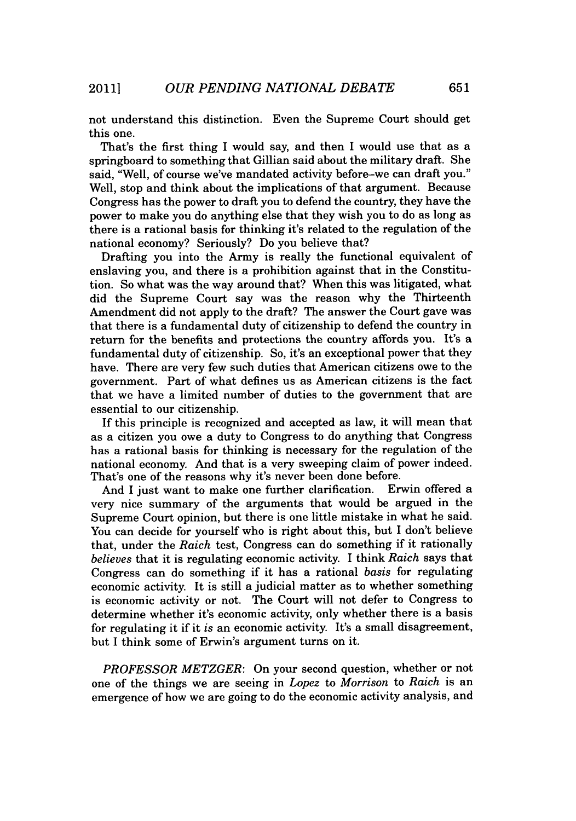not understand this distinction. Even the Supreme Court should get this one.

That's the first thing I would say, and then I would use that as a springboard to something that Gillian said about the military draft. She said, "Well, of course we've mandated activity before-we can draft you." Well, stop and think about the implications of that argument. Because Congress has the power to draft you to defend the country, they have the power to make you do anything else that they wish you to do as long as there is a rational basis for thinking it's related to the regulation of the national economy? Seriously? Do you believe that?

Drafting you into the Army is really the functional equivalent of enslaving you, and there is a prohibition against that in the Constitution. So what was the way around that? When this was litigated, what did the Supreme Court say was the reason why the Thirteenth Amendment did not apply to the draft? The answer the Court gave was that there is a fundamental duty of citizenship to defend the country in return for the benefits and protections the country affords you. It's a fundamental duty of citizenship. So, it's an exceptional power that they have. There are very few such duties that American citizens owe to the government. Part of what defines us as American citizens is the fact that we have a limited number of duties to the government that are essential to our citizenship.

If this principle is recognized and accepted as law, it will mean that as a citizen you owe a duty to Congress to do anything that Congress has a rational basis for thinking is necessary for the regulation of the national economy. And that is a very sweeping claim of power indeed. That's one of the reasons why it's never been done before.

And I just want to make one further clarification. Erwin offered a very nice summary of the arguments that would be argued in the Supreme Court opinion, but there is one little mistake in what he said. You can decide for yourself who is right about this, but I don't believe that, under the *Raich* test, Congress can do something if it rationally *believes* that it is regulating economic activity. I think *Raich* says that Congress can do something if it has a rational *basis* for regulating economic activity. It is still a judicial matter as to whether something is economic activity or not. The Court will not defer to Congress to determine whether it's economic activity, only whether there is a basis for regulating it if it *is* an economic activity. It's a small disagreement, but I think some of Erwin's argument turns on it.

*PROFESSOR METZGER:* On your second question, whether or not one of the things we are seeing in *Lopez to Morrison to Raich* is an emergence of how we are going to do the economic activity analysis, and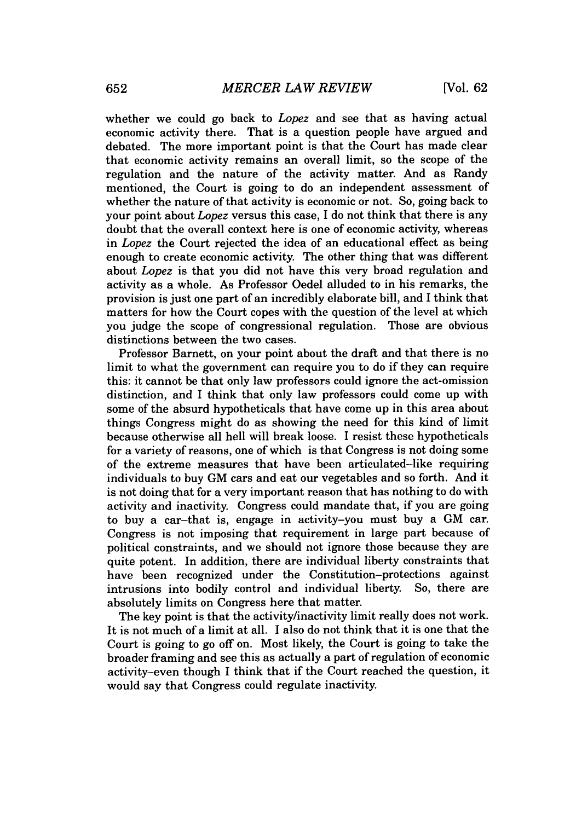whether we could go back to *Lopez* and see that as having actual economic activity there. That is a question people have argued and debated. The more important point is that the Court has made clear that economic activity remains an overall limit, so the scope of the regulation and the nature of the activity matter. And as Randy mentioned, the Court is going to do an independent assessment of whether the nature of that activity is economic or not. So, going back to your point about *Lopez* versus this case, **I** do not think that there is any doubt that the overall context here is one of economic activity, whereas in *Lopez* the Court rejected the idea of an educational effect as being enough to create economic activity. The other thing that was different about *Lopez* is that you did not have this very broad regulation and activity as a whole. As Professor Oedel alluded to in his remarks, the provision is just one part of an incredibly elaborate bill, and **I** think that matters for how the Court copes with the question of the level at which you judge the scope of congressional regulation. Those are obvious distinctions between the two cases.

Professor Barnett, on your point about the draft and that there is no limit to what the government can require you to do if they can require this: it cannot be that only law professors could ignore the act-omission distinction, and I think that only law professors could come up with some of the absurd hypotheticals that have come up in this area about things Congress might do as showing the need for this kind of limit because otherwise all hell will break loose. I resist these hypotheticals for a variety of reasons, one of which is that Congress is not doing some of the extreme measures that have been articulated-like requiring individuals to buy **GM** cars and eat our vegetables and so forth. And it is not doing that for a very important reason that has nothing to do with activity and inactivity. Congress could mandate that, if you are going to buy a car-that is, engage in activity-you must buy a **GM** car. Congress is not imposing that requirement in large part because of political constraints, and we should not ignore those because they are quite potent. In addition, there are individual liberty constraints that have been recognized under the Constitution-protections against intrusions into bodily control and individual liberty. So, there are absolutely limits on Congress here that matter.

The key point is that the activity/inactivity limit really does not work. It is not much of a limit at all. I also do not think that it is one that the Court is going to go off on. Most likely, the Court is going to take the broader framing and see this as actually a part of regulation of economic activity-even though **I** think that if the Court reached the question, it would say that Congress could regulate inactivity.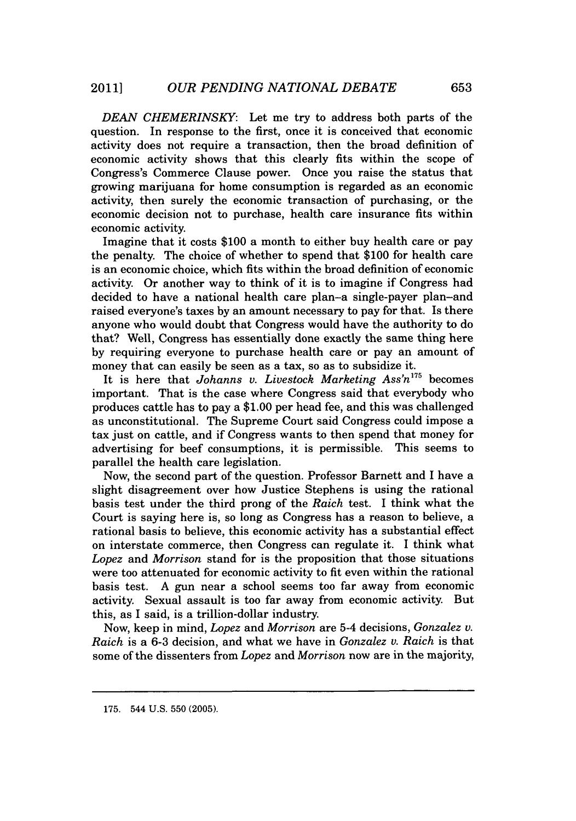*DEAN CHEMERINSKY:* Let me try to address both parts of the question. In response to the first, once it is conceived that economic activity does not require a transaction, then the broad definition of economic activity shows that this clearly fits within the scope of Congress's Commerce Clause power. Once you raise the status that growing marijuana for home consumption is regarded as an economic activity, then surely the economic transaction of purchasing, or the economic decision not to purchase, health care insurance fits within economic activity.

Imagine that it costs **\$100** a month to either buy health care or pay the penalty. The choice of whether to spend that **\$100** for health care is an economic choice, which fits within the broad definition of economic activity. Or another way to think of it is to imagine if Congress had decided to have a national health care plan-a single-payer plan-and raised everyone's taxes **by** an amount necessary to pay for that. Is there anyone who would doubt that Congress would have the authority to do that? Well, Congress has essentially done exactly the same thing here **by** requiring everyone to purchase health care or pay an amount of money that can easily be seen as a tax, so as to subsidize it.

It is here that *Johanns v. Livestock Marketing Ass'n175* becomes important. That is the case where Congress said that everybody who produces cattle has to pay a **\$1.00** per head fee, and this was challenged as unconstitutional. The Supreme Court said Congress could impose a tax just on cattle, and if Congress wants to then spend that money for advertising for beef consumptions, it is permissible. This seems to parallel the health care legislation.

Now, the second part of the question. Professor Barnett and I have a slight disagreement over how Justice Stephens is using the rational basis test under the third prong of the *Raich* test. I think what the Court is saying here is, so long as Congress has a reason to believe, a rational basis to believe, this economic activity has a substantial effect on interstate commerce, then Congress can regulate it. I think what *Lopez and Morrison* stand for is the proposition that those situations were too attenuated for economic activity to fit even within the rational basis test. **A** gun near a school seems too far away from economic activity. Sexual assault is too far away from economic activity. But this, as I said, is a trillion-dollar industry.

Now, keep in mind, *Lopez and Morrison* are 5-4 decisions, *Gonzalez v. Raich* is a **6-3** decision, and what we have in *Gonzalez v. Raich* is that some of the dissenters from *Lopez* and *Morrison* now are in the majority,

**<sup>175.</sup>** 544 **U.S. 550 (2005).**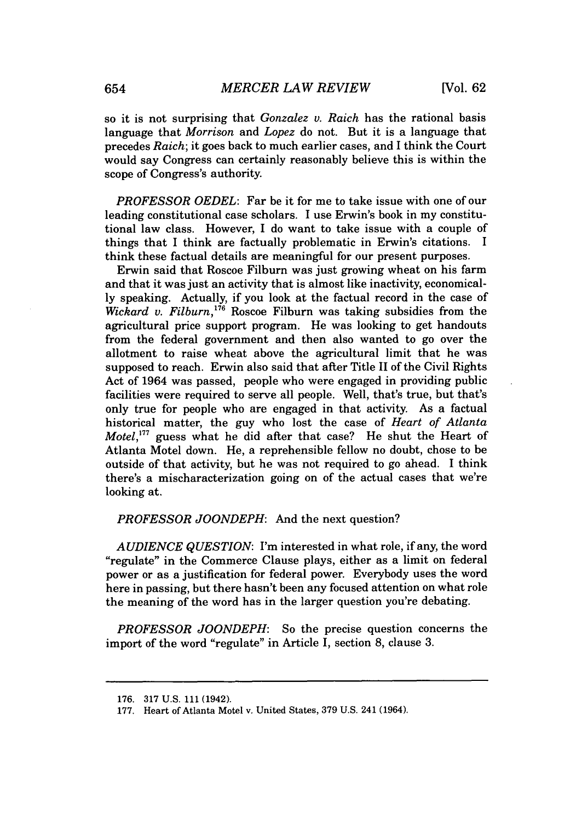so it is not surprising that *Gonzalez v. Raich* has the rational basis language that *Morrison and Lopez* do not. But it is a language that precedes *Raich;* it goes back to much earlier cases, and I think the Court would say Congress can certainly reasonably believe this is within the scope of Congress's authority.

*PROFESSOR OEDEL:* Far be it for me to take issue with one of our leading constitutional case scholars. I use Erwin's book in my constitutional law class. However, I do want to take issue with a couple of things that I think are factually problematic in Erwin's citations. I think these factual details are meaningful for our present purposes.

Erwin said that Roscoe Filburn was just growing wheat on his farm and that it was just an activity that is almost like inactivity, economical**ly** speaking. Actually, if you look at the factual record in the case of *Wickard v. Filburn*,<sup>176</sup> Roscoe Filburn was taking subsidies from the agricultural price support program. He was looking to get handouts from the federal government and then also wanted to go over the allotment to raise wheat above the agricultural limit that he was supposed to reach. Erwin also said that after Title II of the Civil Rights Act of 1964 was passed, people who were engaged in providing public facilities were required to serve all people. Well, that's true, but that's only true for people who are engaged in that activity. As a factual historical matter, the guy who lost the case of *Heart of Atlanta Motel*,<sup>177</sup> guess what he did after that case? He shut the Heart of Atlanta Motel down. He, a reprehensible fellow no doubt, chose to be outside of that activity, but he was not required to go ahead. I think there's a mischaracterization going on of the actual cases that we're looking at.

### *PROFESSOR JOONDEPH:* And the next question?

*AUDIENCE QUESTION:* I'm interested in what role, if any, the word "regulate" in the Commerce Clause plays, either as a limit on federal power or as a justification for federal power. Everybody uses the word here in passing, but there hasn't been any focused attention on what role the meaning of the word has in the larger question you're debating.

*PROFESSOR JOONDEPH:* So the precise question concerns the import of the word "regulate" in Article I, section **8,** clause **3.**

**<sup>176. 317</sup> U.S. 111** (1942).

**<sup>177.</sup>** Heart of Atlanta Motel v. United States, **379 U.S.** 241 (1964).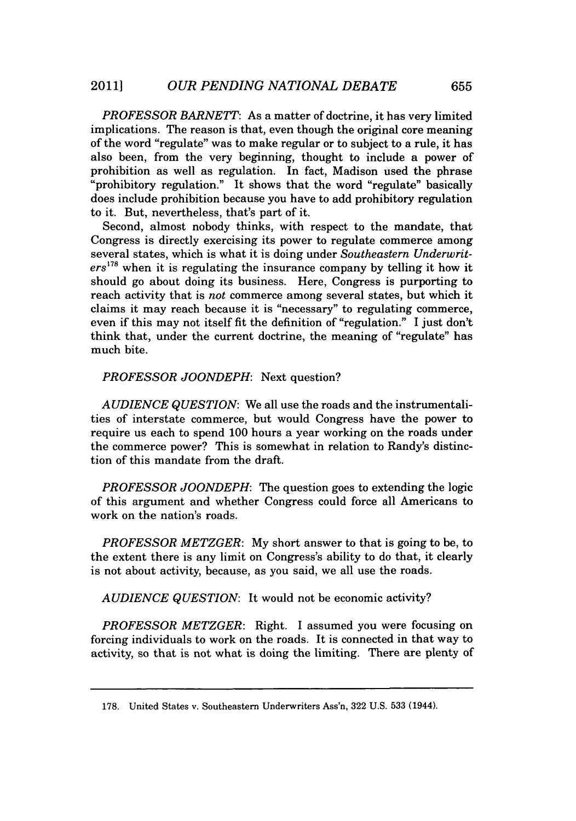*PROFESSOR BARNETT:* As a matter of doctrine, it has very limited implications. The reason is that, even though the original core meaning of the word "regulate" was to make regular or to subject to a rule, it has also been, from the very beginning, thought to include a power of prohibition as well as regulation. In fact, Madison used the phrase "prohibitory regulation." It shows that the word "regulate" basically does include prohibition because you have to add prohibitory regulation to it. But, nevertheless, that's part of it.

Second, almost nobody thinks, with respect to the mandate, that Congress is directly exercising its power to regulate commerce among several states, which is what it is doing under *Southeastern Underwriters178* when it is regulating the insurance company **by** telling it how it should go about doing its business. Here, Congress is purporting to reach activity that is *not* commerce among several states, but which it claims it may reach because it is "necessary" to regulating commerce, even if this may not itself fit the definition of "regulation." I just don't think that, under the current doctrine, the meaning of "regulate" has much bite.

*PROFESSOR JOONDEPH:* Next question?

*AUDIENCE QUESTION:* We all use the roads and the instrumentalities of interstate commerce, but would Congress have the power to require us each to spend **100** hours a year working on the roads under the commerce power? This is somewhat in relation to Randy's distinction of this mandate from the draft.

*PROFESSOR JOONDEPH:* The question goes to extending the logic of this argument and whether Congress could force all Americans to work on the nation's roads.

*PROFESSOR METZGER:* **My** short answer to that is going to be, to the extent there is any limit on Congress's ability to do that, it clearly is not about activity, because, as you said, we all use the roads.

*AUDIENCE QUESTION:* It would not be economic activity?

*PROFESSOR METZGER:* Right. I assumed you were focusing on forcing individuals to work on the roads. It is connected in that way to activity, so that is not what is doing the limiting. There are plenty of

**<sup>178.</sup>** United States v. Southeastern Underwriters Ass'n, **322 U.S. 533** (1944).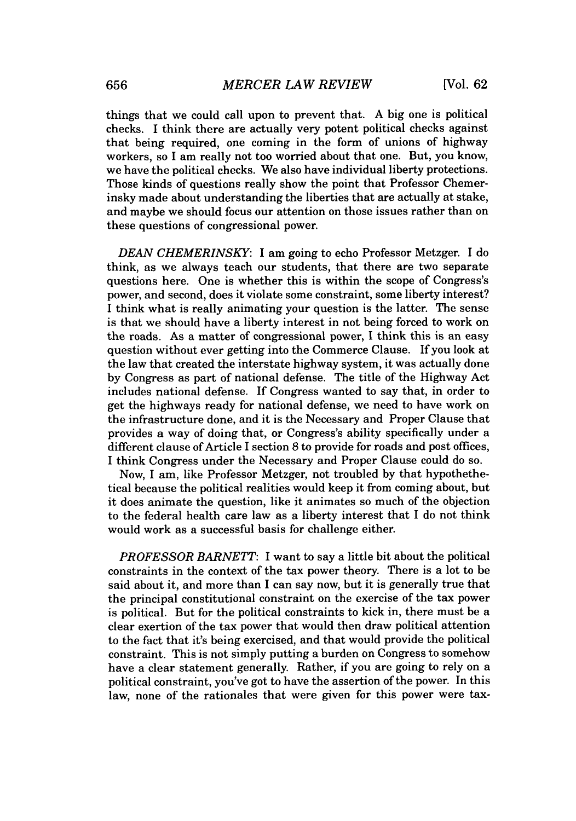things that we could call upon to prevent that. **A** big one is political checks. **I** think there are actually very potent political checks against that being required, one coming in the form of unions of highway workers, so I am really not too worried about that one. But, you know, we have the political checks. We also have individual liberty protections. Those kinds of questions really show the point that Professor Chemerinsky made about understanding the liberties that are actually at stake, and maybe we should focus our attention on those issues rather than on these questions of congressional power.

*DEAN CHEMERINSKY:* I am going to echo Professor Metzger. I do think, as we always teach our students, that there are two separate questions here. One is whether this is within the scope of Congress's power, and second, does it violate some constraint, some liberty interest? I think what is really animating your question is the latter. The sense is that we should have a liberty interest in not being forced to work on the roads. As a matter of congressional power, **I** think this is an easy question without ever getting into the Commerce Clause. If you look at the law that created the interstate highway system, it was actually done **by** Congress as part of national defense. The title of the Highway Act includes national defense. **If** Congress wanted to say that, in order to get the highways ready for national defense, we need to have work on the infrastructure done, and it is the Necessary and Proper Clause that provides a way of doing that, or Congress's ability specifically under a different clause of Article I section **8** to provide for roads and post offices, I think Congress under the Necessary and Proper Clause could do so.

Now, **I** am, like Professor Metzger, not troubled **by** that hypothethetical because the political realities would keep it from coming about, but it does animate the question, like it animates so much of the objection to the federal health care law as a liberty interest that **I** do not think would work as a successful basis for challenge either.

*PROFESSOR BARNETT:* I want to say a little bit about the political constraints in the context of the tax power theory. There is a lot to be said about it, and more than I can say now, but it is generally true that the principal constitutional constraint on the exercise of the tax power is political. But for the political constraints to kick in, there must be a clear exertion of the tax power that would then draw political attention to the fact that it's being exercised, and that would provide the political constraint. This is not simply putting a burden on Congress to somehow have a clear statement generally. Rather, if you are going to rely on a political constraint, you've got to have the assertion of the power. In this law, none of the rationales that were given for this power were tax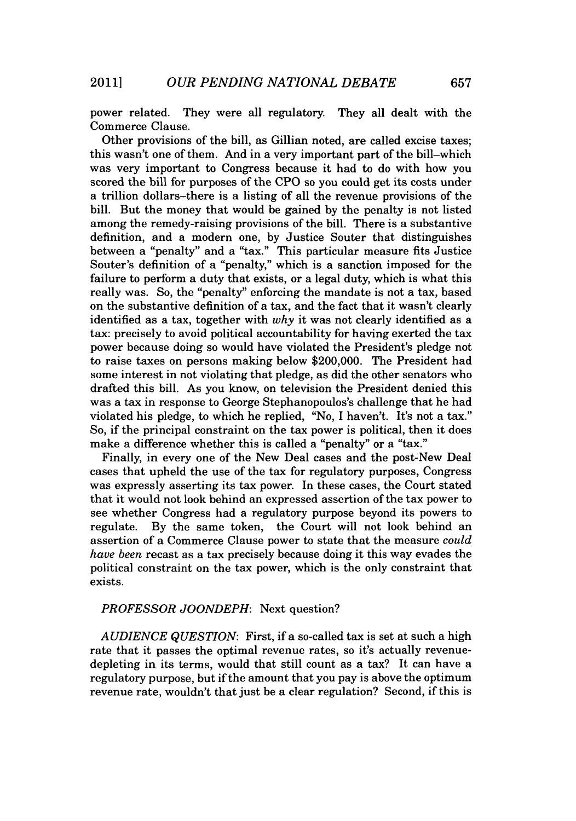power related. They were all regulatory. They all dealt with the Commerce Clause.

Other provisions of the bill, as Gillian noted, are called excise taxes; this wasn't one of them. And in a very important part of the bill-which was very important to Congress because it had to do with how you scored the bill for purposes of the **CPO** so you could get its costs under a trillion dollars-there is a listing of all the revenue provisions of the bill. But the money that would be gained **by** the penalty is not listed among the remedy-raising provisions of the bill. There is a substantive definition, and a modern one, **by** Justice Souter that distinguishes between a "penalty" and a "tax." This particular measure fits Justice Souter's definition of a "penalty," which is a sanction imposed for the failure to perform a duty that exists, or a legal duty, which is what this really was. So, the "penalty" enforcing the mandate is not a tax, based on the substantive definition of a tax, and the fact that it wasn't clearly identified as a tax, together with *why* it was not clearly identified as a tax: precisely to avoid political accountability for having exerted the tax power because doing so would have violated the President's pledge not to raise taxes on persons making below \$200,000. The President had some interest in not violating that pledge, as did the other senators who drafted this bill. As you know, on television the President denied this was a tax in response to George Stephanopoulos's challenge that he had violated his pledge, to which he replied, "No, I haven't. It's not a tax." So, if the principal constraint on the tax power is political, then it does make a difference whether this is called a "penalty" or a "tax."

Finally, in every one of the New Deal cases and the post-New Deal cases that upheld the use of the tax for regulatory purposes, Congress was expressly asserting its tax power. In these cases, the Court stated that it would not look behind an expressed assertion of the tax power to see whether Congress had a regulatory purpose beyond its powers to regulate. **By** the same token, the Court will not look behind an assertion of a Commerce Clause power to state that the measure *could have been* recast as a tax precisely because doing it this way evades the political constraint on the tax power, which is the only constraint that exists.

### *PROFESSOR JOONDEPH:* Next question?

*AUDIENCE QUESTION:* First, if a so-called tax is set at such a high rate that it passes the optimal revenue rates, so it's actually revenuedepleting in its terms, would that still count as a tax? It can have a regulatory purpose, but if the amount that you pay is above the optimum revenue rate, wouldn't that just be a clear regulation? Second, if this is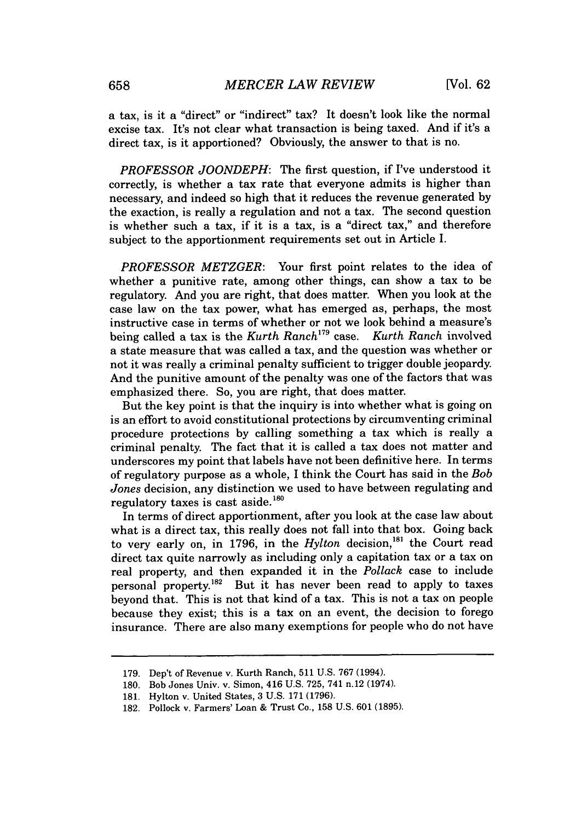a tax, is it a "direct" or "indirect" tax? It doesn't look like the normal excise tax. It's not clear what transaction is being taxed. And if it's a direct tax, is it apportioned? Obviously, the answer to that is no.

*PROFESSOR JOONDEPH:* The first question, if I've understood it correctly, is whether a tax rate that everyone admits is higher than necessary, and indeed so high that it reduces the revenue generated **by** the exaction, is really a regulation and not a tax. The second question is whether such a tax, if it is a tax, is a "direct tax," and therefore subject to the apportionment requirements set out in Article I.

*PROFESSOR METZGER:* Your first point relates to the idea of whether a punitive rate, among other things, can show a tax to be regulatory. And you are right, that does matter. When you look at the case law on the tax power, what has emerged as, perhaps, the most instructive case in terms of whether or not we look behind a measure's being called a tax is the Kurth Ranch<sup>179</sup> case. Kurth Ranch involved being called a tax is the *Kurth Ranch*<sup>179</sup> case. a state measure that was called a tax, and the question was whether or not it was really a criminal penalty sufficient to trigger double jeopardy. And the punitive amount of the penalty was one of the factors that was emphasized there. So, you are right, that does matter.

But the key point is that the inquiry is into whether what is going on is an effort to avoid constitutional protections **by** circumventing criminal procedure protections **by** calling something a tax which is really a criminal penalty. The fact that it is called a tax does not matter and underscores my point that labels have not been definitive here. In terms of regulatory purpose as a whole, I think the Court has said in the *Bob Jones* decision, any distinction we used to have between regulating and regulatory taxes is cast aside.<sup>180</sup>

In terms of direct apportionment, after you look at the case law about what is a direct tax, this really does not fall into that box. Going back to very early on, in 1796, in the *Hylton* decision,<sup>181</sup> the Court read direct tax quite narrowly as including only a capitation tax or a tax on real property, and then expanded it in the *Pollack* case to include personal property.<sup>182</sup> But it has never been read to apply to taxes beyond that. This is not that kind of a tax. This is not a tax on people because they exist; this is a tax on an event, the decision to forego insurance. There are also many exemptions for people who do not have

**<sup>179.</sup>** Dep't of Revenue v. Kurth Ranch, **511 U.S. 767** (1994).

**<sup>180.</sup>** Bob Jones Univ. v. Simon, 416 **U.S. 725, 741** n.12 (1974).

**<sup>181.</sup>** Hylton v. United States, **3 U.S. 171 (1796).**

**<sup>182.</sup>** Pollock v. Farmers' Loan **&** Trust Co., **158 U.S. 601 (1895).**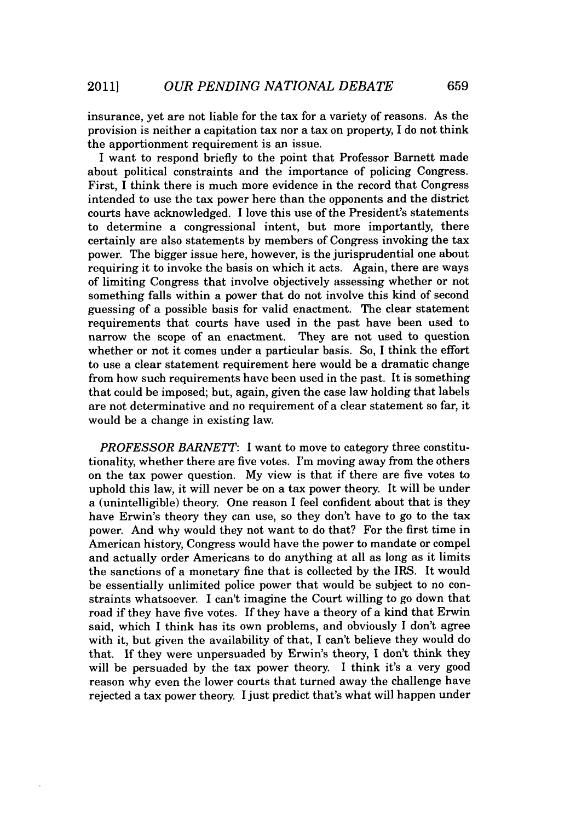insurance, yet are not liable for the tax for a variety of reasons. As the provision is neither a capitation tax nor a tax on property, I do not think the apportionment requirement is an issue.

I want to respond briefly to the point that Professor Barnett made about political constraints and the importance of policing Congress. First, **I** think there is much more evidence in the record that Congress intended to use the tax power here than the opponents and the district courts have acknowledged. I love this use of the President's statements to determine a congressional intent, but more importantly, there certainly are also statements **by** members of Congress invoking the tax power. The bigger issue here, however, is the jurisprudential one about requiring it to invoke the basis on which it acts. Again, there are ways of limiting Congress that involve objectively assessing whether or not something falls within a power that do not involve this kind of second guessing of a possible basis for valid enactment. The clear statement requirements that courts have used in the past have been used to narrow the scope of an enactment. They are not used to question whether or not it comes under a particular basis. So, **I** think the effort to use a clear statement requirement here would be a dramatic change from how such requirements have been used in the past. It is something that could be imposed; but, again, given the case law holding that labels are not determinative and no requirement of a clear statement so far, it would be a change in existing law.

*PROFESSOR BARNETT: I* want to move to category three constitutionality, whether there are five votes. I'm moving away from the others on the tax power question, **My** view is that if there are five votes to uphold this law, it will never be on a tax power theory. It will be under a (unintelligible) theory. One reason I feel confident about that is they have Erwin's theory they can use, so they don't have to go to the tax power. And why would they not want to do that? For the first time in American history, Congress would have the power to mandate or compel and actually order Americans to do anything at all as long as it limits the sanctions of a monetary fine that is collected **by** the IRS. It would be essentially unlimited police power that would be subject to no constraints whatsoever. I can't imagine the Court willing to go down that road if they have five votes. If they have a theory of a kind that Erwin said, which I think has its own problems, and obviously **I** don't agree with it, but given the availability of that, I can't believe they would do that. **If** they were unpersuaded **by** Erwin's theory, **I** don't think they will be persuaded by the tax power theory. I think it's a very good reason why even the lower courts that turned away the challenge have rejected a tax power theory. I just predict that's what will happen under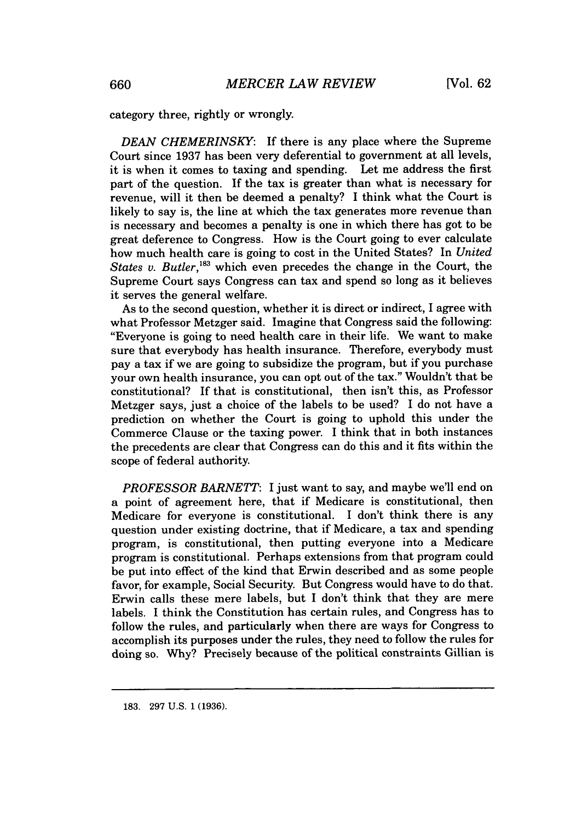category three, rightly or wrongly.

*DEAN CHEMERINSKY:* If there is any place where the Supreme Court since **1937** has been very deferential to government at all levels, it is when it comes to taxing and spending. Let me address the first part of the question. **If** the tax is greater than what is necessary for revenue, will it then be deemed a penalty? I think what the Court is likely to say is, the line at which the tax generates more revenue than is necessary and becomes a penalty is one in which there has got to be great deference to Congress. How is the Court going to ever calculate how much health care is going to cost in the United States? In *United States v. Butler*,<sup>183</sup> which even precedes the change in the Court, the Supreme Court says Congress can tax and spend so long as it believes it serves the general welfare.

As to the second question, whether it is direct or indirect, I agree with what Professor Metzger said. Imagine that Congress said the following: "Everyone is going to need health care in their life. We want to make sure that everybody has health insurance. Therefore, everybody must pay a tax if we are going to subsidize the program, but if you purchase your own health insurance, you can opt out of the tax." Wouldn't that be constitutional? If that is constitutional, then isn't this, as Professor Metzger says, just a choice of the labels to be used? I do not have a prediction on whether the Court is going to uphold this under the Commerce Clause or the taxing power. I think that in both instances the precedents are clear that Congress can do this and it fits within the scope of federal authority.

*PROFESSOR BARNETT*: I just want to say, and maybe we'll end on a point of agreement here, that if Medicare is constitutional, then Medicare for everyone is constitutional. **I** don't think there is any question under existing doctrine, that if Medicare, a tax and spending program, is constitutional, then putting everyone into a Medicare program is constitutional. Perhaps extensions from that program could be put into effect of the kind that Erwin described and as some people favor, for example, Social Security. But Congress would have to do that. Erwin calls these mere labels, but I don't think that they are mere labels. **I** think the Constitution has certain rules, and Congress has to follow the rules, and particularly when there are ways for Congress to accomplish its purposes under the rules, they need to follow the rules for doing so. **Why?** Precisely because of the political constraints Gillian is

**<sup>183. 297</sup> U.S. 1 (1936).**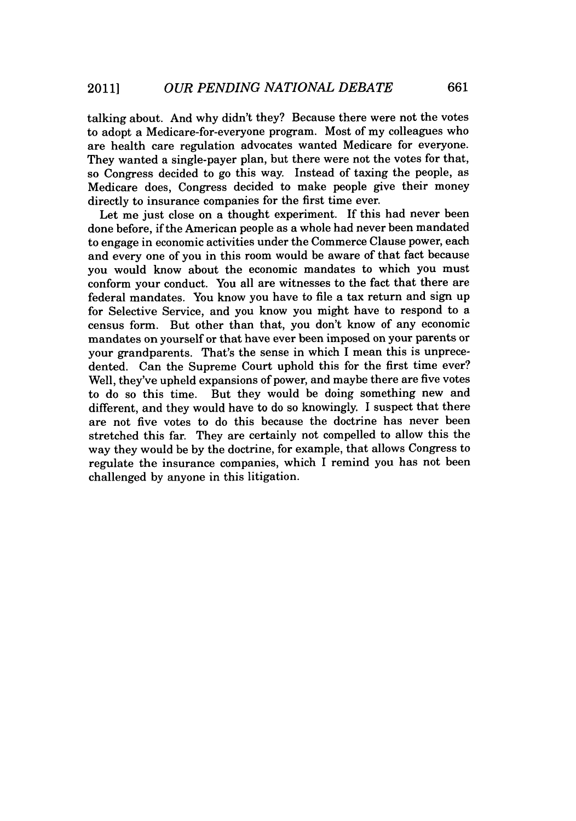talking about. And why didn't they? Because there were not the votes to adopt a Medicare-for-everyone program. Most of my colleagues who are health care regulation advocates wanted Medicare for everyone. They wanted a single-payer plan, but there were not the votes for that, so Congress decided to go this way. Instead of taxing the people, as Medicare does, Congress decided to make people give their money directly to insurance companies for the first time ever.

Let me just close on a thought experiment. If this had never been done before, if the American people as a whole had never been mandated to engage in economic activities under the Commerce Clause power, each and every one of you in this room would be aware of that fact because you would know about the economic mandates to which you must conform your conduct. You all are witnesses to the fact that there are federal mandates. You know you have to file a tax return and sign up for Selective Service, and you know you might have to respond to a census form. But other than that, you don't know of any economic mandates on yourself or that have ever been imposed on your parents or your grandparents. That's the sense in which **I** mean this is unprecedented. Can the Supreme Court uphold this for the first time ever? Well, they've upheld expansions of power, and maybe there are five votes to do so this time. But they would be doing something new and different, and they would have to do so knowingly. I suspect that there are not five votes to do this because the doctrine has never been stretched this far. They are certainly not compelled to allow this the way they would be **by** the doctrine, for example, that allows Congress to regulate the insurance companies, which I remind you has not been challenged **by** anyone in this litigation.